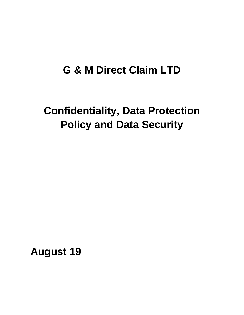# **G & M Direct Claim LTD**

# **Confidentiality, Data Protection Policy and Data Security**

**August 19**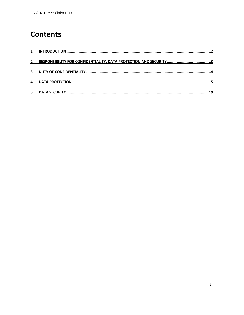## **Contents**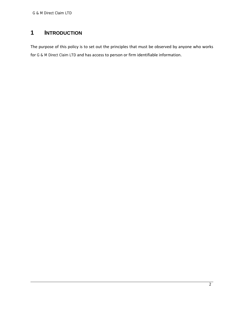## **1 INTRODUCTION**

The purpose of this policy is to set out the principles that must be observed by anyone who works for G & M Direct Claim LTD and has access to person or firm identifiable information.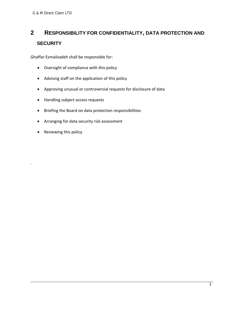## **2 RESPONSIBILITY FOR CONFIDENTIALITY, DATA PROTECTION AND SECURITY**

Ghaffar Esmailzadeh shall be responsible for:

- Oversight of compliance with this policy
- Advising staff on the application of this policy
- Approving unusual or controversial requests for disclosure of data
- Handling subject access requests
- Briefing the Board on data protection responsibilities
- Arranging for data security risk assessment
- Reviewing this policy

.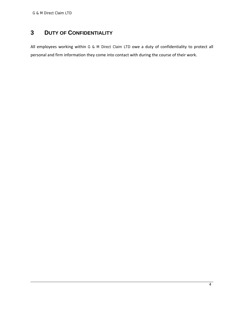## **3 DUTY OF CONFIDENTIALITY**

All employees working within G & M Direct Claim LTD owe a duty of confidentiality to protect all personal and firm information they come into contact with during the course of their work.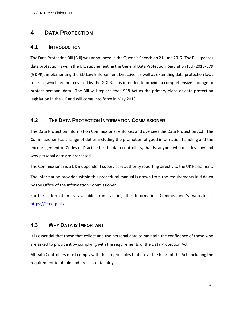## **4 DATA PROTECTION**

## **4.1 INTRODUCTION**

The Data Protection Bill (Bill) was announced in the Queen's Speech on 21 June 2017. The Bill updates data protection laws in the UK, supplementing the General Data Protection Regulation (EU) 2016/679 (GDPR), implementing the EU Law Enforcement Directive, as well as extending data protection laws to areas which are not covered by the GDPR. It is intended to provide a comprehensive package to protect personal data. The Bill will replace the 1998 Act as the primary piece of data protection legislation in the UK and will come into force in May 2018.

## **4.2 THE DATA PROTECTION INFORMATION COMMISSIONER**

The Data Protection Information Commissioner enforces and oversees the Data Protection Act. The Commissioner has a range of duties including the promotion of good information handling and the encouragement of Codes of Practice for the data controllers, that is, anyone who decides how and why personal data are processed.

The Commissioner is a UK independent supervisory authority reporting directly to the UK Parliament. The information provided within this procedural manual is drawn from the requirements laid down by the Office of the Information Commissioner.

Further information is available from visiting the Information Commissioner's website at https://ico.org.uk/

## **4.3 WHY DATA IS IMPORTANT**

It is essential that those that collect and use personal data to maintain the confidence of those who are asked to provide it by complying with the requirements of the Data Protection Act.

All Data Controllers must comply with the six principles that are at the heart of the Act, including the requirement to obtain and process data fairly.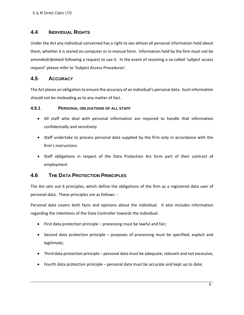## **4.4 INDIVIDUAL RIGHTS**

Under the Act any individual concerned has a right to see almost all personal information held about them, whether it is stored on computer or in manual form. Information held by the firm must not be amended/deleted following a request to use it. In the event of receiving a so-called 'subject access request' please refer to 'Subject Access Procedures'.

## **4.5 ACCURACY**

The Act places an obligation to ensure the accuracy of an individual's personal data. Such information should not be misleading as to any matter of fact.

## **4.5.1 PERSONAL OBLIGATIONS OF ALL STAFF**

- All staff who deal with personal information are required to handle that information confidentially and sensitively
- Staff undertake to process personal data supplied by the firm only in accordance with the firm's instructions
- Staff obligations in respect of the Data Protection Act form part of their contract of employment

## **4.6 THE DATA PROTECTION PRINCIPLES**

The Act sets out 6 principles, which define the obligations of the firm as a registered data user of personal data. These principles are as follows: ‐

Personal data covers both facts and opinions about the individual. It also includes information regarding the intentions of the Data Controller towards the individual.

- First data protection principle processing must be lawful and fair;
- Second data protection principle purposes of processing must be specified, explicit and legitimate;
- Third data protection principle personal data must be adequate, relevant and not excessive;
- Fourth data protection principle personal data must be accurate and kept up to date;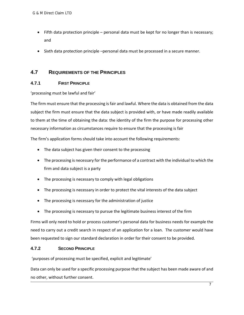- Fifth data protection principle personal data must be kept for no longer than is necessary; and
- Sixth data protection principle –personal data must be processed in a secure manner.

## **4.7 REQUIREMENTS OF THE PRINCIPLES**

## **4.7.1 FIRST PRINCIPLE**

'processing must be lawful and fair'

The firm must ensure that the processing is fair and lawful. Where the data is obtained from the data subject the firm must ensure that the data subject is provided with, or have made readily available to them at the time of obtaining the data: the identity of the firm the purpose for processing other necessary information as circumstances require to ensure that the processing is fair

The firm's application forms should take into account the following requirements:

- The data subject has given their consent to the processing
- The processing is necessary for the performance of a contract with the individual to which the firm and data subject is a party
- The processing is necessary to comply with legal obligations
- The processing is necessary in order to protect the vital interests of the data subject
- The processing is necessary for the administration of justice
- The processing is necessary to pursue the legitimate business interest of the firm

Firms will only need to hold or process customer's personal data for business needs for example the need to carry out a credit search in respect of an application for a loan. The customer would have been requested to sign our standard declaration in order for their consent to be provided.

## **4.7.2 SECOND PRINCIPLE**

'purposes of processing must be specified, explicit and legitimate'

Data can only be used for a specific processing purpose that the subject has been made aware of and no other, without further consent.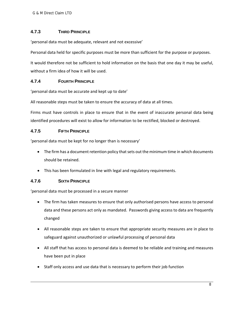## **4.7.3 THIRD PRINCIPLE**

'personal data must be adequate, relevant and not excessive'

Personal data held for specific purposes must be more than sufficient for the purpose or purposes.

It would therefore not be sufficient to hold information on the basis that one day it may be useful, without a firm idea of how it will be used.

## **4.7.4 FOURTH PRINCIPLE**

'personal data must be accurate and kept up to date'

All reasonable steps must be taken to ensure the accuracy of data at all times.

Firms must have controls in place to ensure that in the event of inaccurate personal data being identified procedures will exist to allow for information to be rectified, blocked or destroyed.

## **4.7.5 FIFTH PRINCIPLE**

'personal data must be kept for no longer than is necessary'

- The firm has a document retention policy that sets out the minimum time in which documents should be retained.
- This has been formulated in line with legal and regulatory requirements.

## **4.7.6 SIXTH PRINCIPLE**

'personal data must be processed in a secure manner

- The firm has taken measures to ensure that only authorised persons have access to personal data and these persons act only as mandated. Passwords giving access to data are frequently changed
- All reasonable steps are taken to ensure that appropriate security measures are in place to safeguard against unauthorized or unlawful processing of personal data
- All staff that has access to personal data is deemed to be reliable and training and measures have been put in place
- Staff only access and use data that is necessary to perform their job function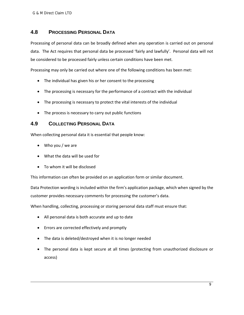## **4.8 PROCESSING PERSONAL DATA**

Processing of personal data can be broadly defined when any operation is carried out on personal data. The Act requires that personal data be processed 'fairly and lawfully'. Personal data will not be considered to be processed fairly unless certain conditions have been met.

Processing may only be carried out where one of the following conditions has been met:

- The individual has given his or her consent to the processing
- The processing is necessary for the performance of a contract with the individual
- The processing is necessary to protect the vital interests of the individual
- The process is necessary to carry out public functions

## **4.9 COLLECTING PERSONAL DATA**

When collecting personal data it is essential that people know:

- Who you / we are
- What the data will be used for
- To whom it will be disclosed

This information can often be provided on an application form or similar document.

Data Protection wording is included within the firm's application package, which when signed by the customer provides necessary comments for processing the customer's data.

When handling, collecting, processing or storing personal data staff must ensure that:

- All personal data is both accurate and up to date
- Errors are corrected effectively and promptly
- The data is deleted/destroyed when it is no longer needed
- The personal data is kept secure at all times (protecting from unauthorized disclosure or access)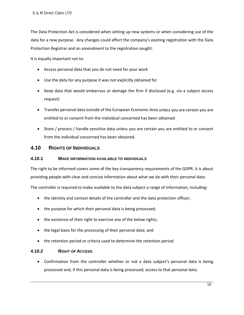The Data Protection Act is considered when setting up new systems or when considering use of the data for a new purpose. Any changes could affect the company's existing registration with the Data Protection Registrar and an amendment to the registration sought.

It is equally important not to:

- Access personal data that you do not need for your work
- Use the data for any purpose it was not explicitly obtained for
- Keep data that would embarrass or damage the firm if disclosed (e.g. via a subject access request)
- Transfer personal data outside of the European Economic Area unless you are certain you are entitled to or consent from the individual concerned has been obtained
- Store / process / handle sensitive data unless you are certain you are entitled to or consent from the individual concerned has been obtained.

## **4.10 RIGHTS OF INDIVIDUALS**

#### **4.10.1 MAKE INFORMATION AVAILABLE TO INDIVIDUALS**

The right to be informed covers some of the key transparency requirements of the GDPR. It is about providing people with clear and concise information about what we do with their personal data.

The controller is required to make available to the data subject a range of information, including:

- the identity and contact details of the controller and the data protection officer;
- the purpose for which their personal data is being processed;
- the existence of their right to exercise any of the below rights;
- the legal basis for the processing of their personal data; and
- the retention period or criteria used to determine the retention period.

#### **4.10.2 RIGHT OF ACCESS**

 Confirmation from the controller whether or not a data subject's personal data is being processed and, if this personal data is being processed, access to that personal data.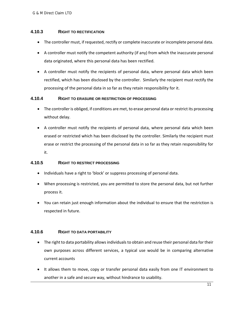#### **4.10.3 RIGHT TO RECTIFICATION**

- The controller must, if requested, rectify or complete inaccurate or incomplete personal data.
- A controller must notify the competent authority (if any) from which the inaccurate personal data originated, where this personal data has been rectified.
- A controller must notify the recipients of personal data, where personal data which been rectified, which has been disclosed by the controller. Similarly the recipient must rectify the processing of the personal data in so far as they retain responsibility for it.

#### **4.10.4 RIGHT TO ERASURE OR RESTRICTION OF PROCESSING**

- The controller is obliged, if conditions are met, to erase personal data or restrict its processing without delay.
- A controller must notify the recipients of personal data, where personal data which been erased or restricted which has been disclosed by the controller. Similarly the recipient must erase or restrict the processing of the personal data in so far as they retain responsibility for it.

#### **4.10.5 RIGHT TO RESTRICT PROCESSING**

- Individuals have a right to 'block' or suppress processing of personal data.
- When processing is restricted, you are permitted to store the personal data, but not further process it.
- You can retain just enough information about the individual to ensure that the restriction is respected in future.

#### **4.10.6 RIGHT TO DATA PORTABILITY**

- The right to data portability allows individuals to obtain and reuse their personal data for their own purposes across different services, a typical use would be in comparing alternative current accounts
- It allows them to move, copy or transfer personal data easily from one IT environment to another in a safe and secure way, without hindrance to usability.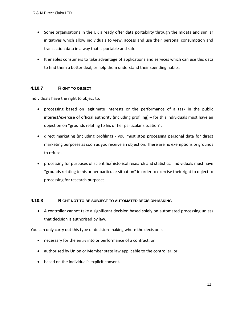- Some organisations in the UK already offer data portability through the midata and similar initiatives which allow individuals to view, access and use their personal consumption and transaction data in a way that is portable and safe.
- It enables consumers to take advantage of applications and services which can use this data to find them a better deal, or help them understand their spending habits.

## **4.10.7 RIGHT TO OBJECT**

Individuals have the right to object to:

- processing based on legitimate interests or the performance of a task in the public interest/exercise of official authority (including profiling) – for this individuals must have an objection on "grounds relating to his or her particular situation".
- direct marketing (including profiling) you must stop processing personal data for direct marketing purposes as soon as you receive an objection. There are no exemptions or grounds to refuse.
- processing for purposes of scientific/historical research and statistics. Individuals must have "grounds relating to his or her particular situation" in order to exercise their right to object to processing for research purposes.

## **4.10.8 RIGHT NOT TO BE SUBJECT TO AUTOMATED DECISION-MAKING**

 A controller cannot take a significant decision based solely on automated processing unless that decision is authorised by law.

You can only carry out this type of decision-making where the decision is:

- necessary for the entry into or performance of a contract; or
- authorised by Union or Member state law applicable to the controller; or
- based on the individual's explicit consent.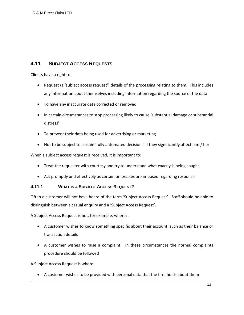## **4.11 SUBJECT ACCESS REQUESTS**

Clients have a right to:

- Request (a 'subject access request') details of the processing relating to them. This includes any information about themselves including information regarding the source of the data
- To have any inaccurate data corrected or removed
- In certain circumstances to stop processing likely to cause 'substantial damage or substantial distress'
- To prevent their data being used for advertising or marketing
- Not to be subject to certain 'fully automated decisions' if they significantly affect him / her

When a subject access request is received, it is important to:

- Treat the requester with courtesy and try to understand what exactly is being sought
- Act promptly and effectively as certain timescales are imposed regarding response

## **4.11.1 WHAT IS A SUBJECT ACCESS REQUEST?**

Often a customer will not have heard of the term 'Subject Access Request'. Staff should be able to distinguish between a casual enquiry and a 'Subject Access Request'.

A Subject Access Request is not, for example, where:‐

- A customer wishes to know something specific about their account, such as their balance or transaction details
- A customer wishes to raise a complaint. In these circumstances the normal complaints procedure should be followed

A Subject Access Request is where:

A customer wishes to be provided with personal data that the firm holds about them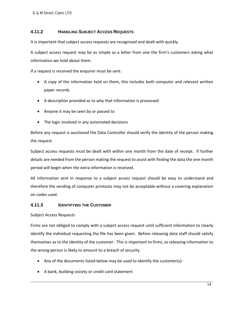## **4.11.2 HANDLING SUBJECT ACCESS REQUESTS**

It is important that subject access requests are recognised and dealt with quickly.

A subject access request may be as simple as a letter from one the firm's customers asking what information we hold about them.

If a request is received the enquirer must be sent:

- A copy of the information held on them, this includes both computer and relevant written paper records
- A description provided as to why that information is processed
- Anyone it may be seen by or passed to
- The logic involved in any automated decisions

Before any request is auctioned the Data Controller should verify the identity of the person making the request.

Subject access requests must be dealt with within one month from the date of receipt. If further details are needed from the person making the request to assist with finding the data the one month period will begin when the extra information is received.

All information sent in response to a subject access request should be easy to understand and therefore the sending of computer printouts may not be acceptable without a covering explanation on codes used.

## **4.11.3 IDENTIFYING THE CUSTOMER**

#### Subject Access Requests

Firms are not obliged to comply with a subject access request until sufficient information to clearly identify the individual requesting the file has been given. Before releasing data staff should satisfy themselves as to the identity of the customer. This is important to firms, as releasing information to the wrong person is likely to amount to a breach of security.

- Any of the documents listed below may be used to identify the customer(s):
- A bank, building society or credit card statement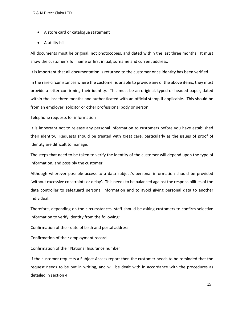- A store card or catalogue statement
- A utility bill

All documents must be original, not photocopies, and dated within the last three months. It must show the customer's full name or first initial, surname and current address.

It is important that all documentation is returned to the customer once identity has been verified.

In the rare circumstances where the customer is unable to provide any of the above items, they must provide a letter confirming their identity. This must be an original, typed or headed paper, dated within the last three months and authenticated with an official stamp if applicable. This should be from an employer, solicitor or other professional body or person.

#### Telephone requests for information

It is important not to release any personal information to customers before you have established their identity. Requests should be treated with great care, particularly as the issues of proof of identity are difficult to manage.

The steps that need to be taken to verify the identity of the customer will depend upon the type of information, and possibly the customer.

Although wherever possible access to a data subject's personal information should be provided 'without excessive constraints or delay'. This needs to be balanced against the responsibilities of the data controller to safeguard personal information and to avoid giving personal data to another individual.

Therefore, depending on the circumstances, staff should be asking customers to confirm selective information to verify identity from the following:

Confirmation of their date of birth and postal address

Confirmation of their employment record

Confirmation of their National Insurance number

If the customer requests a Subject Access report then the customer needs to be reminded that the request needs to be put in writing, and will be dealt with in accordance with the procedures as detailed in section 4.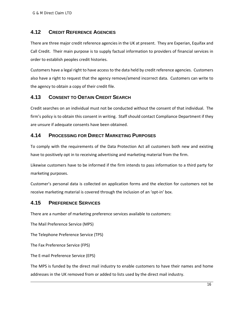## **4.12 CREDIT REFERENCE AGENCIES**

There are three major credit reference agencies in the UK at present. They are Experian, Equifax and Call Credit. Their main purpose is to supply factual information to providers of financial services in order to establish peoples credit histories.

Customers have a legal right to have access to the data held by credit reference agencies. Customers also have a right to request that the agency remove/amend incorrect data. Customers can write to the agency to obtain a copy of their credit file.

## **4.13 CONSENT TO OBTAIN CREDIT SEARCH**

Credit searches on an individual must not be conducted without the consent of that individual. The firm's policy is to obtain this consent in writing. Staff should contact Compliance Department if they are unsure if adequate consents have been obtained.

## **4.14 PROCESSING FOR DIRECT MARKETING PURPOSES**

To comply with the requirements of the Data Protection Act all customers both new and existing have to positively opt in to receiving advertising and marketing material from the firm.

Likewise customers have to be informed if the firm intends to pass information to a third party for marketing purposes.

Customer's personal data is collected on application forms and the election for customers not be receive marketing material is covered through the inclusion of an 'opt-in' box.

## **4.15 PREFERENCE SERVICES**

There are a number of marketing preference services available to customers:

The Mail Preference Service (MPS)

The Telephone Preference Service (TPS)

The Fax Preference Service (FPS)

The E‐mail Preference Service (EPS)

The MPS is funded by the direct mail industry to enable customers to have their names and home addresses in the UK removed from or added to lists used by the direct mail industry.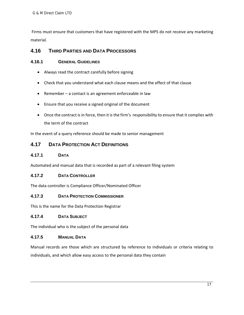Firms must ensure that customers that have registered with the MPS do not receive any marketing material.

## **4.16 THIRD PARTIES AND DATA PROCESSORS**

## **4.16.1 GENERAL GUIDELINES**

- Always read the contract carefully before signing
- Check that you understand what each clause means and the effect of that clause
- Remember a contact is an agreement enforceable in law
- Ensure that you receive a signed original of the document
- Once the contract is in force, then it is the firm's responsibility to ensure that it complies with the term of the contract

In the event of a query reference should be made to senior management

## **4.17 DATA PROTECTION ACT DEFINITIONS**

## **4.17.1 DATA**

Automated and manual data that is recorded as part of a relevant filing system

## **4.17.2 DATA CONTROLLER**

The data controller is Compliance Officer/Nominated Officer

## **4.17.3 DATA PROTECTION COMMISSIONER**

This is the name for the Data Protection Registrar

## **4.17.4 DATA SUBJECT**

The individual who is the subject of the personal data

## **4.17.5 MANUAL DATA**

Manual records are those which are structured by reference to individuals or criteria relating to individuals, and which allow easy access to the personal data they contain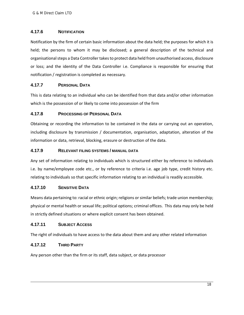## **4.17.6 NOTIFICATION**

Notification by the firm of certain basic information about the data held; the purposes for which it is held; the persons to whom it may be disclosed; a general description of the technical and organisational steps a Data Controller takes to protect data held from unauthorised access, disclosure or loss; and the identity of the Data Controller i.e. Compliance is responsible for ensuring that notification / registration is completed as necessary.

## **4.17.7 PERSONAL DATA**

This is data relating to an individual who can be identified from that data and/or other information which is the possession of or likely to come into possession of the firm

## **4.17.8 PROCESSING OF PERSONAL DATA**

Obtaining or recording the information to be contained in the data or carrying out an operation, including disclosure by transmission / documentation, organisation, adaptation, alteration of the information or data, retrieval, blocking, erasure or destruction of the data.

## **4.17.9 RELEVANT FILING SYSTEMS / MANUAL DATA**

Any set of information relating to individuals which is structured either by reference to individuals i.e. by name/employee code etc., or by reference to criteria i.e. age job type, credit history etc. relating to individuals so that specific information relating to an individual is readily accessible.

## **4.17.10 SENSITIVE DATA**

Means data pertaining to: racial or ethnic origin; religions orsimilar beliefs; trade union membership; physical or mental health or sexual life; political options; criminal offices. This data may only be held in strictly defined situations or where explicit consent has been obtained.

## **4.17.11 SUBJECT ACCESS**

The right of individuals to have access to the data about them and any other related information

## **4.17.12 THIRD PARTY**

Any person other than the firm or its staff, data subject, or data processor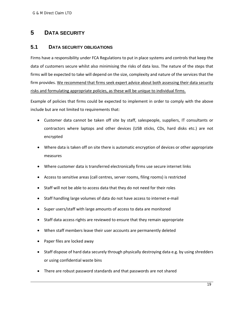## **5 DATA SECURITY**

## **5.1 DATA SECURITY OBLIGATIONS**

Firms have a responsibility under FCA Regulations to put in place systems and controls that keep the data of customers secure whilst also minimising the risks of data loss. The nature of the steps that firms will be expected to take will depend on the size, complexity and nature of the services that the firm provides. We recommend that firms seek expert advice about both assessing their data security risks and formulating appropriate policies, as these will be unique to individual firms.

Example of policies that firms could be expected to implement in order to comply with the above include but are not limited to requirements that:

- Customer data cannot be taken off site by staff, salespeople, suppliers, IT consultants or contractors where laptops and other devices (USB sticks, CDs, hard disks etc.) are not encrypted
- Where data is taken off on site there is automatic encryption of devices or other appropriate measures
- Where customer data is transferred electronically firms use secure internet links
- Access to sensitive areas (call centres, server rooms, filing rooms) is restricted
- Staff will not be able to access data that they do not need for their roles
- Staff handling large volumes of data do not have access to internet e-mail
- Super users/staff with large amounts of access to data are monitored
- Staff data access rights are reviewed to ensure that they remain appropriate
- When staff members leave their user accounts are permanently deleted
- Paper files are locked away
- Staff dispose of hard data securely through physically destroying data e.g. by using shredders or using confidential waste bins
- There are robust password standards and that passwords are not shared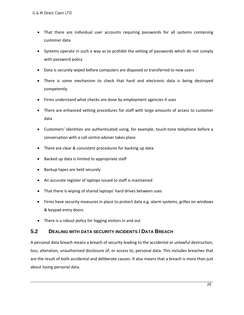- That there are individual user accounts requiring passwords for all systems containing customer data
- Systems operate in such a way as to prohibit the setting of passwords which do not comply with password policy
- Data is securely wiped before computers are disposed or transferred to new users
- There is some mechanism to check that hard and electronic data is being destroyed competently
- Firms understand what checks are done by employment agencies it uses
- There are enhanced vetting procedures for staff with large amounts of access to customer data
- Customers' identities are authenticated using, for example, touch‐tone telephone before a conversation with a call centre adviser takes place
- There are clear & consistent procedures for backing up data
- Backed up data is limited to appropriate staff
- Backup tapes are held securely
- An accurate register of laptops issued to staff is maintained
- That there is wiping of shared laptops' hard drives between uses
- Firms have security measures in place to protect data e.g. alarm systems, grilles on windows & keypad entry doors
- There is a robust policy for logging visitors in and out

## **5.2 DEALING WITH DATA SECURITY INCIDENTS / DATA BREACH**

A personal data breach means a breach of security leading to the accidental or unlawful destruction, loss, alteration, unauthorised disclosure of, or access to, personal data. This includes breaches that are the result of both accidental and deliberate causes. It also means that a breach is more than just about losing personal data.